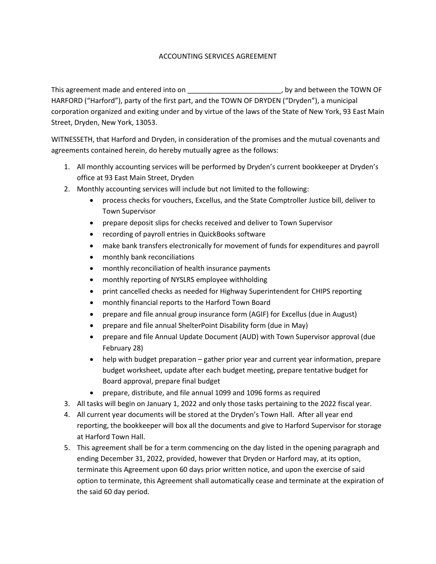## ACCOUNTING SERVICES AGREEMENT

This agreement made and entered into on  $\qquad \qquad$ , by and between the TOWN OF HARFORD ("Harford"), party of the first part, and the TOWN OF DRYDEN ("Dryden"), a municipal corporation organized and exiting under and by virtue of the laws of the State of New York, 93 East Main Street, Dryden, New York, 13053.

WITNESSETH, that Harford and Dryden, in consideration of the promises and the mutual covenants and agreements contained herein, do hereby mutually agree as the follows:

- 1. All monthly accounting services will be performed by Dryden's current bookkeeper at Dryden's office at 93 East Main Street, Dryden
- 2. Monthly accounting services will include but not limited to the following:
	- process checks for vouchers, Excellus, and the State Comptroller Justice bill, deliver to Town Supervisor
	- prepare deposit slips for checks received and deliver to Town Supervisor
	- recording of payroll entries in QuickBooks software
	- make bank transfers electronically for movement of funds for expenditures and payroll
	- monthly bank reconciliations
	- monthly reconciliation of health insurance payments
	- monthly reporting of NYSLRS employee withholding
	- print cancelled checks as needed for Highway Superintendent for CHIPS reporting
	- monthly financial reports to the Harford Town Board
	- prepare and file annual group insurance form (AGIF) for Excellus (due in August)
	- prepare and file annual ShelterPoint Disability form (due in May)
	- prepare and file Annual Update Document (AUD) with Town Supervisor approval (due February 28)
	- help with budget preparation gather prior year and current year information, prepare budget worksheet, update after each budget meeting, prepare tentative budget for Board approval, prepare final budget
	- prepare, distribute, and file annual 1099 and 1096 forms as required
- 3. All tasks will begin on January 1, 2022 and only those tasks pertaining to the 2022 fiscal year.
- 4. All current year documents will be stored at the Dryden's Town Hall. After all year end reporting, the bookkeeper will box all the documents and give to Harford Supervisor for storage at Harford Town Hall.
- 5. This agreement shall be for a term commencing on the day listed in the opening paragraph and ending December 31, 2022, provided, however that Dryden or Harford may, at its option, terminate this Agreement upon 60 days prior written notice, and upon the exercise of said option to terminate, this Agreement shall automatically cease and terminate at the expiration of the said 60 day period.